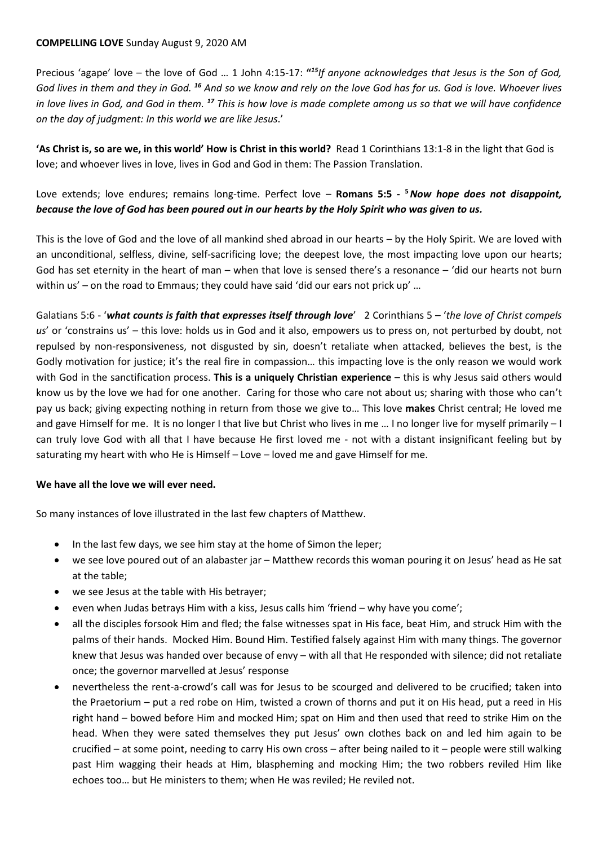### **COMPELLING LOVE** Sunday August 9, 2020 AM

Precious 'agape' love – the love of God … 1 John 4:15-17: **"** *<sup>15</sup>If anyone acknowledges that Jesus is the Son of God, God lives in them and they in God. <sup>16</sup> And so we know and rely on the love God has for us. God is love. Whoever lives in love lives in God, and God in them. <sup>17</sup> This is how love is made complete among us so that we will have confidence on the day of judgment: In this world we are like Jesus*.'

**'As Christ is, so are we, in this world' How is Christ in this world?** Read 1 Corinthians 13:1-8 in the light that God is love; and whoever lives in love, lives in God and God in them: The Passion Translation.

# Love extends; love endures; remains long-time. Perfect love – **Romans 5:5 - <sup>5</sup>***Now hope does not disappoint, because the love of God has been poured out in our hearts by the Holy Spirit who was given to us.*

This is the love of God and the love of all mankind shed abroad in our hearts – by the Holy Spirit. We are loved with an unconditional, selfless, divine, self-sacrificing love; the deepest love, the most impacting love upon our hearts; God has set eternity in the heart of man – when that love is sensed there's a resonance – 'did our hearts not burn within us' – on the road to Emmaus; they could have said 'did our ears not prick up' ...

Galatians 5:6 - '*what counts is faith that expresses itself through love*' 2 Corinthians 5 – '*the love of Christ compels us*' or 'constrains us' – this love: holds us in God and it also, empowers us to press on, not perturbed by doubt, not repulsed by non-responsiveness, not disgusted by sin, doesn't retaliate when attacked, believes the best, is the Godly motivation for justice; it's the real fire in compassion… this impacting love is the only reason we would work with God in the sanctification process. **This is a uniquely Christian experience** – this is why Jesus said others would know us by the love we had for one another. Caring for those who care not about us; sharing with those who can't pay us back; giving expecting nothing in return from those we give to… This love **makes** Christ central; He loved me and gave Himself for me. It is no longer I that live but Christ who lives in me … I no longer live for myself primarily – I can truly love God with all that I have because He first loved me - not with a distant insignificant feeling but by saturating my heart with who He is Himself – Love – loved me and gave Himself for me.

### **We have all the love we will ever need.**

So many instances of love illustrated in the last few chapters of Matthew.

- In the last few days, we see him stay at the home of Simon the leper;
- we see love poured out of an alabaster jar Matthew records this woman pouring it on Jesus' head as He sat at the table;
- we see Jesus at the table with His betrayer;
- even when Judas betrays Him with a kiss, Jesus calls him 'friend why have you come';
- all the disciples forsook Him and fled; the false witnesses spat in His face, beat Him, and struck Him with the palms of their hands. Mocked Him. Bound Him. Testified falsely against Him with many things. The governor knew that Jesus was handed over because of envy – with all that He responded with silence; did not retaliate once; the governor marvelled at Jesus' response
- nevertheless the rent-a-crowd's call was for Jesus to be scourged and delivered to be crucified; taken into the Praetorium – put a red robe on Him, twisted a crown of thorns and put it on His head, put a reed in His right hand – bowed before Him and mocked Him; spat on Him and then used that reed to strike Him on the head. When they were sated themselves they put Jesus' own clothes back on and led him again to be crucified – at some point, needing to carry His own cross – after being nailed to it – people were still walking past Him wagging their heads at Him, blaspheming and mocking Him; the two robbers reviled Him like echoes too… but He ministers to them; when He was reviled; He reviled not.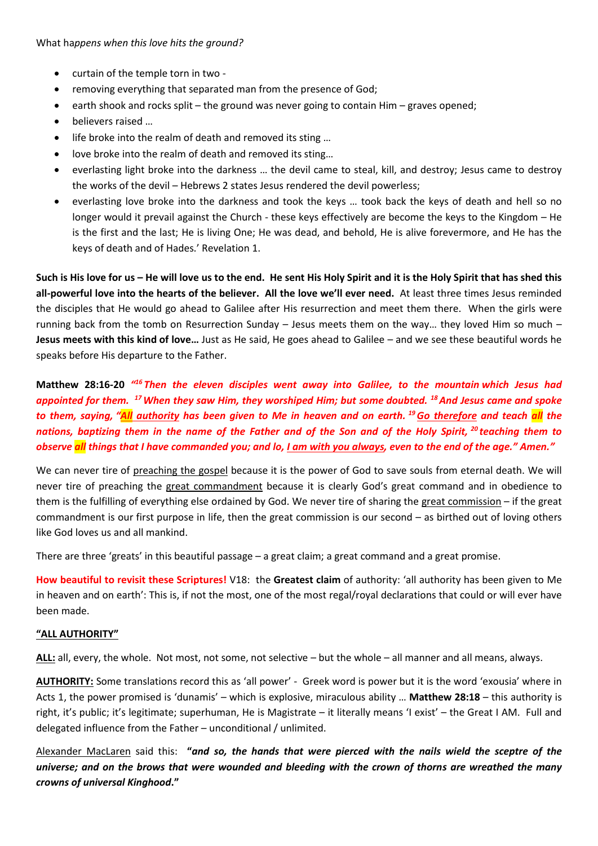- curtain of the temple torn in two -
- removing everything that separated man from the presence of God;
- $\bullet$  earth shook and rocks split the ground was never going to contain Him graves opened;
- believers raised …
- life broke into the realm of death and removed its sting ...
- love broke into the realm of death and removed its sting…
- everlasting light broke into the darkness … the devil came to steal, kill, and destroy; Jesus came to destroy the works of the devil – Hebrews 2 states Jesus rendered the devil powerless;
- everlasting love broke into the darkness and took the keys … took back the keys of death and hell so no longer would it prevail against the Church - these keys effectively are become the keys to the Kingdom – He is the first and the last; He is living One; He was dead, and behold, He is alive forevermore, and He has the keys of death and of Hades.' Revelation 1.

**Such is His love for us – He will love us to the end. He sent His Holy Spirit and it is the Holy Spirit that has shed this all-powerful love into the hearts of the believer. All the love we'll ever need.** At least three times Jesus reminded the disciples that He would go ahead to Galilee after His resurrection and meet them there. When the girls were running back from the tomb on Resurrection Sunday – Jesus meets them on the way… they loved Him so much – **Jesus meets with this kind of love…** Just as He said, He goes ahead to Galilee – and we see these beautiful words he speaks before His departure to the Father.

**Matthew 28:16-20** *" <sup>16</sup> Then the eleven disciples went away into Galilee, to the mountain which Jesus had appointed for them. <sup>17</sup>When they saw Him, they worshiped Him; but some doubted. <sup>18</sup>And Jesus came and spoke to them, saying, "All authority has been given to Me in heaven and on earth. <sup>19</sup>Go therefore and teach all the nations, baptizing them in the name of the Father and of the Son and of the Holy Spirit, <sup>20</sup> teaching them to observe all things that I have commanded you; and lo, I am with you always, even to the end of the age." Amen."*

We can never tire of preaching the gospel because it is the power of God to save souls from eternal death. We will never tire of preaching the great commandment because it is clearly God's great command and in obedience to them is the fulfilling of everything else ordained by God. We never tire of sharing the great commission – if the great commandment is our first purpose in life, then the great commission is our second – as birthed out of loving others like God loves us and all mankind.

There are three 'greats' in this beautiful passage – a great claim; a great command and a great promise.

**How beautiful to revisit these Scriptures!** V18: the **Greatest claim** of authority: 'all authority has been given to Me in heaven and on earth': This is, if not the most, one of the most regal/royal declarations that could or will ever have been made.

### **"ALL AUTHORITY"**

**ALL:** all, every, the whole. Not most, not some, not selective – but the whole – all manner and all means, always.

**AUTHORITY:** Some translations record this as 'all power' - Greek word is power but it is the word 'exousia' where in Acts 1, the power promised is 'dunamis' – which is explosive, miraculous ability … **Matthew 28:18** – this authority is right, it's public; it's legitimate; superhuman, He is Magistrate – it literally means 'I exist' – the Great I AM. Full and delegated influence from the Father – unconditional / unlimited.

Alexander MacLaren said this: **"***and so, the hands that were pierced with the nails wield the sceptre of the universe; and on the brows that were wounded and bleeding with the crown of thorns are wreathed the many crowns of universal Kinghood***."**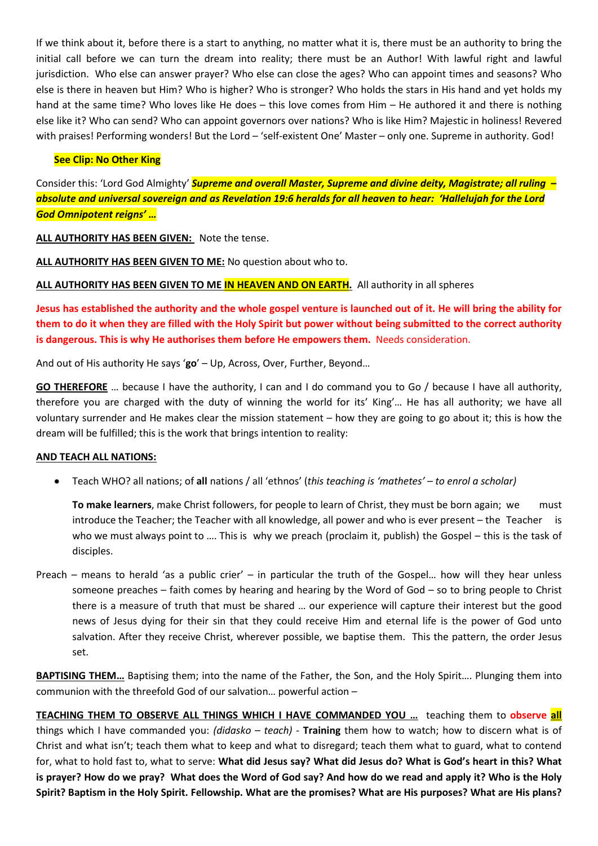If we think about it, before there is a start to anything, no matter what it is, there must be an authority to bring the initial call before we can turn the dream into reality; there must be an Author! With lawful right and lawful jurisdiction. Who else can answer prayer? Who else can close the ages? Who can appoint times and seasons? Who else is there in heaven but Him? Who is higher? Who is stronger? Who holds the stars in His hand and yet holds my hand at the same time? Who loves like He does – this love comes from Him – He authored it and there is nothing else like it? Who can send? Who can appoint governors over nations? Who is like Him? Majestic in holiness! Revered with praises! Performing wonders! But the Lord – 'self-existent One' Master – only one. Supreme in authority. God!

## **See Clip: No Other King**

Consider this: 'Lord God Almighty' *Supreme and overall Master, Supreme and divine deity, Magistrate; all ruling – absolute and universal sovereign and as Revelation 19:6 heralds for all heaven to hear: 'Hallelujah for the Lord God Omnipotent reigns' …*

**ALL AUTHORITY HAS BEEN GIVEN:** Note the tense.

**ALL AUTHORITY HAS BEEN GIVEN TO ME:** No question about who to.

**ALL AUTHORITY HAS BEEN GIVEN TO ME IN HEAVEN AND ON EARTH.** All authority in all spheres

**Jesus has established the authority and the whole gospel venture is launched out of it. He will bring the ability for them to do it when they are filled with the Holy Spirit but power without being submitted to the correct authority is dangerous. This is why He authorises them before He empowers them.** Needs consideration.

And out of His authority He says '**go**' – Up, Across, Over, Further, Beyond…

**GO THEREFORE** … because I have the authority, I can and I do command you to Go / because I have all authority, therefore you are charged with the duty of winning the world for its' King'… He has all authority; we have all voluntary surrender and He makes clear the mission statement – how they are going to go about it; this is how the dream will be fulfilled; this is the work that brings intention to reality:

## **AND TEACH ALL NATIONS:**

• Teach WHO? all nations; of **all** nations / all 'ethnos' (*this teaching is 'mathetes' – to enrol a scholar)*

**To make learners**, make Christ followers, for people to learn of Christ, they must be born again; we must introduce the Teacher; the Teacher with all knowledge, all power and who is ever present – the Teacher is who we must always point to .... This is why we preach (proclaim it, publish) the Gospel – this is the task of disciples.

Preach – means to herald 'as a public crier' – in particular the truth of the Gospel… how will they hear unless someone preaches – faith comes by hearing and hearing by the Word of God – so to bring people to Christ there is a measure of truth that must be shared … our experience will capture their interest but the good news of Jesus dying for their sin that they could receive Him and eternal life is the power of God unto salvation. After they receive Christ, wherever possible, we baptise them. This the pattern, the order Jesus set.

**BAPTISING THEM…** Baptising them; into the name of the Father, the Son, and the Holy Spirit…. Plunging them into communion with the threefold God of our salvation… powerful action –

**TEACHING THEM TO OBSERVE ALL THINGS WHICH I HAVE COMMANDED YOU …** teaching them to **observe all** things which I have commanded you: *(didasko – teach) -* **Training** them how to watch; how to discern what is of Christ and what isn't; teach them what to keep and what to disregard; teach them what to guard, what to contend for, what to hold fast to, what to serve: **What did Jesus say? What did Jesus do? What is God's heart in this? What is prayer? How do we pray? What does the Word of God say? And how do we read and apply it? Who is the Holy Spirit? Baptism in the Holy Spirit. Fellowship. What are the promises? What are His purposes? What are His plans?**